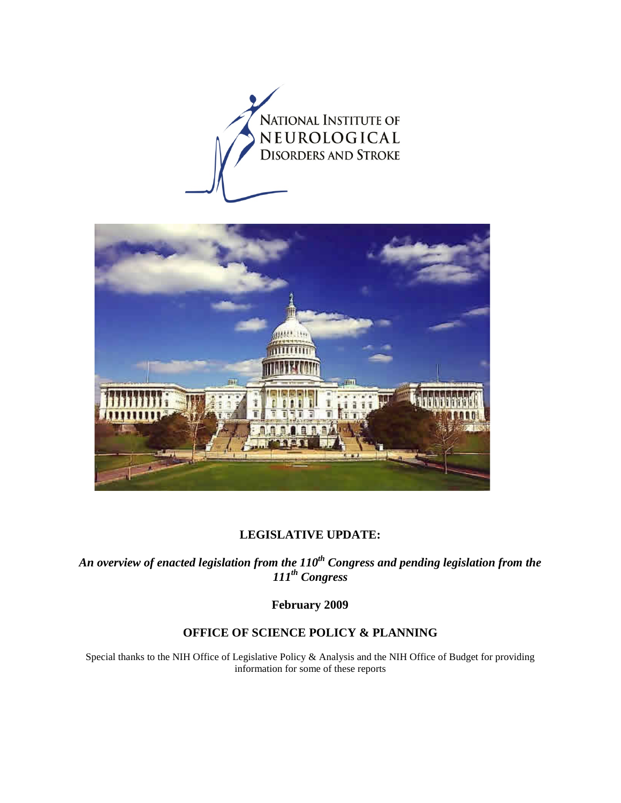



#### **LEGISLATIVE UPDATE:**

An overview of enacted legislation from the  $110^{th}$  Congress and pending legislation from the *111th Congress* 

**February 2009** 

## **OFFICE OF SCIENCE POLICY & PLANNING**

Special thanks to the NIH Office of Legislative Policy & Analysis and the NIH Office of Budget for providing information for some of these reports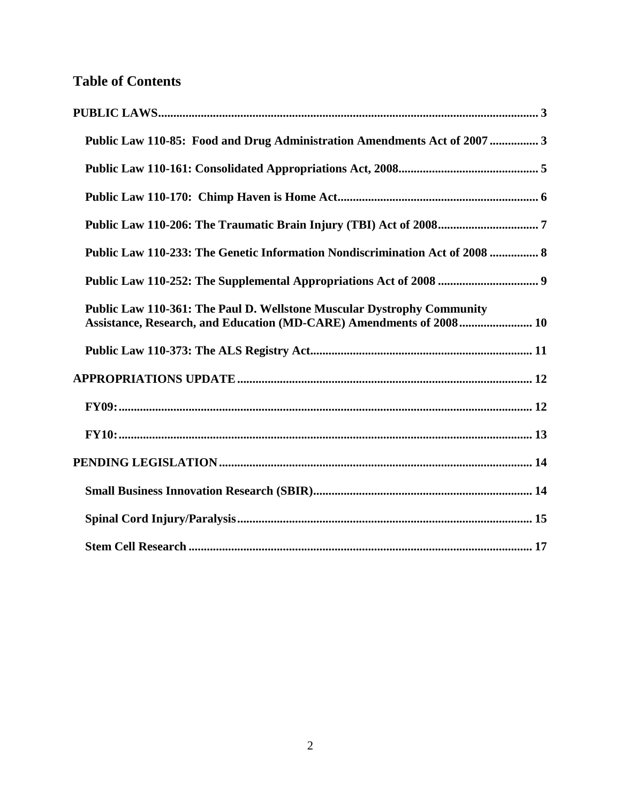# **Table of Contents**

| Public Law 110-85: Food and Drug Administration Amendments Act of 2007  3                                                                            |  |
|------------------------------------------------------------------------------------------------------------------------------------------------------|--|
|                                                                                                                                                      |  |
|                                                                                                                                                      |  |
|                                                                                                                                                      |  |
| Public Law 110-233: The Genetic Information Nondiscrimination Act of 2008  8                                                                         |  |
|                                                                                                                                                      |  |
| <b>Public Law 110-361: The Paul D. Wellstone Muscular Dystrophy Community</b><br>Assistance, Research, and Education (MD-CARE) Amendments of 2008 10 |  |
|                                                                                                                                                      |  |
|                                                                                                                                                      |  |
|                                                                                                                                                      |  |
|                                                                                                                                                      |  |
|                                                                                                                                                      |  |
|                                                                                                                                                      |  |
|                                                                                                                                                      |  |
|                                                                                                                                                      |  |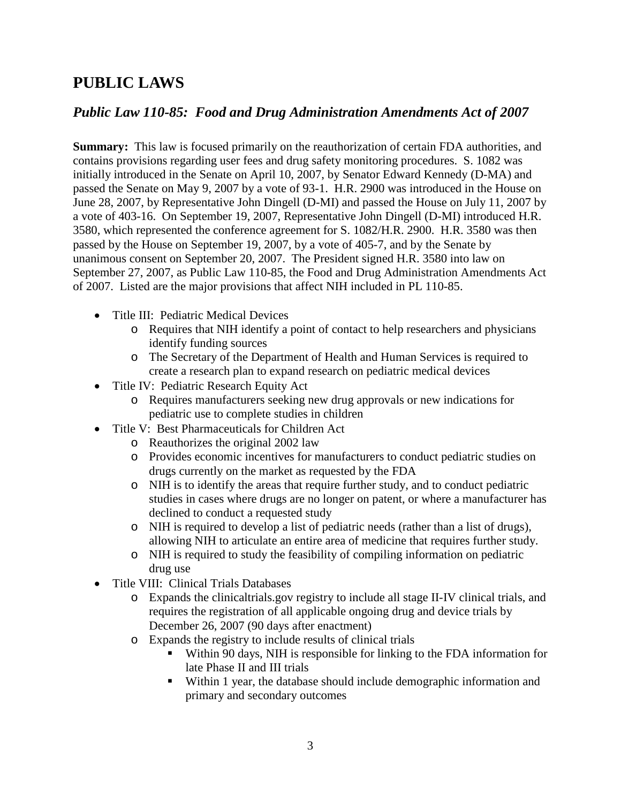# <span id="page-2-0"></span>**PUBLIC LAWS**

## <span id="page-2-1"></span>*Public Law 110-85: Food and Drug Administration Amendments Act of 2007*

**Summary:** This law is focused primarily on the reauthorization of certain FDA authorities, and contains provisions regarding user fees and drug safety monitoring procedures. S. 1082 was initially introduced in the Senate on April 10, 2007, by Senator Edward Kennedy (D-MA) and passed the Senate on May 9, 2007 by a vote of 93-1. H.R. 2900 was introduced in the House on June 28, 2007, by Representative John Dingell (D-MI) and passed the House on July 11, 2007 by a vote of 403-16. On September 19, 2007, Representative John Dingell (D-MI) introduced H.R. 3580, which represented the conference agreement for S. 1082/H.R. 2900. H.R. 3580 was then passed by the House on September 19, 2007, by a vote of 405-7, and by the Senate by unanimous consent on September 20, 2007. The President signed H.R. 3580 into law on September 27, 2007, as Public Law 110-85, the Food and Drug Administration Amendments Act of 2007. Listed are the major provisions that affect NIH included in PL 110-85.

- Title III: Pediatric Medical Devices
	- o Requires that NIH identify a point of contact to help researchers and physicians identify funding sources
	- o The Secretary of the Department of Health and Human Services is required to create a research plan to expand research on pediatric medical devices
- Title IV: Pediatric Research Equity Act
	- o Requires manufacturers seeking new drug approvals or new indications for pediatric use to complete studies in children
- Title V: Best Pharmaceuticals for Children Act
	- o Reauthorizes the original 2002 law
	- o Provides economic incentives for manufacturers to conduct pediatric studies on drugs currently on the market as requested by the FDA
	- o NIH is to identify the areas that require further study, and to conduct pediatric studies in cases where drugs are no longer on patent, or where a manufacturer has declined to conduct a requested study
	- o NIH is required to develop a list of pediatric needs (rather than a list of drugs), allowing NIH to articulate an entire area of medicine that requires further study.
	- o NIH is required to study the feasibility of compiling information on pediatric drug use
- Title VIII: Clinical Trials Databases
	- o Expands the clinicaltrials.gov registry to include all stage II-IV clinical trials, and requires the registration of all applicable ongoing drug and device trials by December 26, 2007 (90 days after enactment)
	- o Expands the registry to include results of clinical trials
		- Within 90 days, NIH is responsible for linking to the FDA information for late Phase II and III trials
		- Within 1 year, the database should include demographic information and primary and secondary outcomes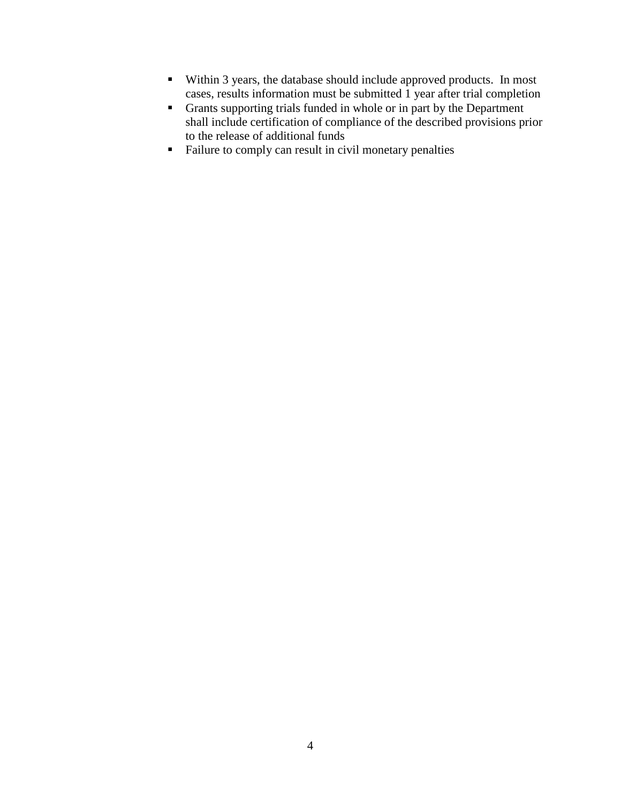- Within 3 years, the database should include approved products. In most cases, results information must be submitted 1 year after trial completion
- Grants supporting trials funded in whole or in part by the Department shall include certification of compliance of the described provisions prior to the release of additional funds
- <span id="page-3-0"></span>Failure to comply can result in civil monetary penalties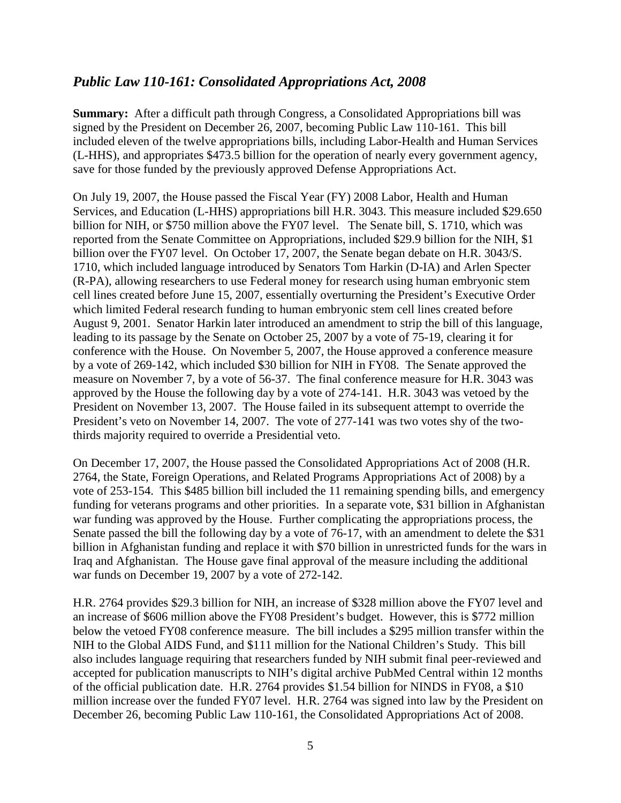## *Public Law 110-161: Consolidated Appropriations Act, 2008*

**Summary:** After a difficult path through Congress, a Consolidated Appropriations bill was signed by the President on December 26, 2007, becoming Public Law 110-161. This bill included eleven of the twelve appropriations bills, including Labor-Health and Human Services (L-HHS), and appropriates \$473.5 billion for the operation of nearly every government agency, save for those funded by the previously approved Defense Appropriations Act.

On July 19, 2007, the House passed the Fiscal Year (FY) 2008 Labor, Health and Human Services, and Education (L-HHS) appropriations bill H.R. 3043. This measure included \$29.650 billion for NIH, or \$750 million above the FY07 level. The Senate bill, S. 1710, which was reported from the Senate Committee on Appropriations, included \$29.9 billion for the NIH, \$1 billion over the FY07 level. On October 17, 2007, the Senate began debate on H.R. 3043/S. 1710, which included language introduced by Senators Tom Harkin (D-IA) and Arlen Specter (R-PA), allowing researchers to use Federal money for research using human embryonic stem cell lines created before June 15, 2007, essentially overturning the President's Executive Order which limited Federal research funding to human embryonic stem cell lines created before August 9, 2001. Senator Harkin later introduced an amendment to strip the bill of this language, leading to its passage by the Senate on October 25, 2007 by a vote of 75-19, clearing it for conference with the House. On November 5, 2007, the House approved a conference measure by a vote of 269-142, which included \$30 billion for NIH in FY08. The Senate approved the measure on November 7, by a vote of 56-37. The final conference measure for H.R. 3043 was approved by the House the following day by a vote of 274-141. H.R. 3043 was vetoed by the President on November 13, 2007. The House failed in its subsequent attempt to override the President's veto on November 14, 2007. The vote of 277-141 was two votes shy of the twothirds majority required to override a Presidential veto.

On December 17, 2007, the House passed the Consolidated Appropriations Act of 2008 (H.R. 2764, the State, Foreign Operations, and Related Programs Appropriations Act of 2008) by a vote of 253-154. This \$485 billion bill included the 11 remaining spending bills, and emergency funding for veterans programs and other priorities. In a separate vote, \$31 billion in Afghanistan war funding was approved by the House. Further complicating the appropriations process, the Senate passed the bill the following day by a vote of 76-17, with an amendment to delete the \$31 billion in Afghanistan funding and replace it with \$70 billion in unrestricted funds for the wars in Iraq and Afghanistan. The House gave final approval of the measure including the additional war funds on December 19, 2007 by a vote of 272-142.

H.R. 2764 provides \$29.3 billion for NIH, an increase of \$328 million above the FY07 level and an increase of \$606 million above the FY08 President's budget. However, this is \$772 million below the vetoed FY08 conference measure. The bill includes a \$295 million transfer within the NIH to the Global AIDS Fund, and \$111 million for the National Children's Study. This bill also includes language requiring that researchers funded by NIH submit final peer-reviewed and accepted for publication manuscripts to NIH's digital archive PubMed Central within 12 months of the official publication date. H.R. 2764 provides \$1.54 billion for NINDS in FY08, a \$10 million increase over the funded FY07 level. H.R. 2764 was signed into law by the President on December 26, becoming Public Law 110-161, the Consolidated Appropriations Act of 2008.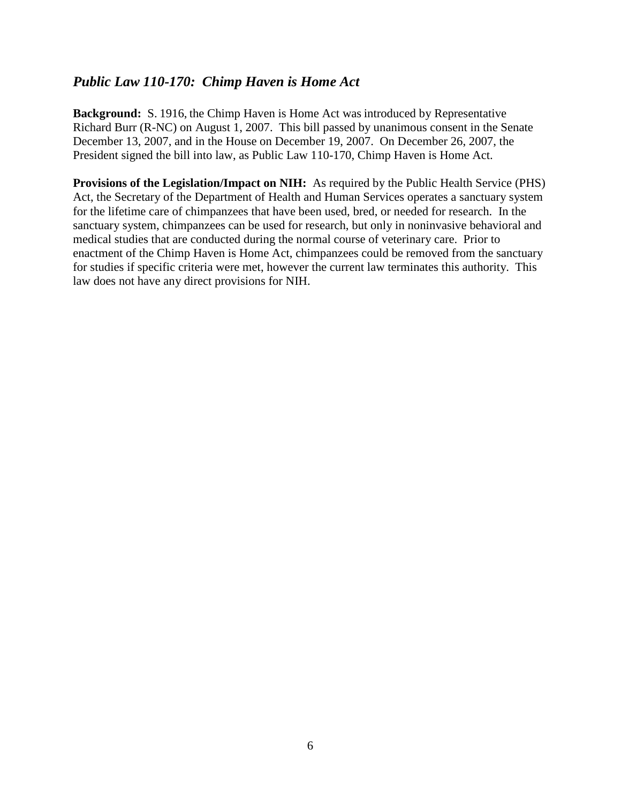### <span id="page-5-0"></span>*Public Law 110-170: Chimp Haven is Home Act*

**Background:** S. 1916, the Chimp Haven is Home Act was introduced by Representative Richard Burr (R-NC) on August 1, 2007. This bill passed by unanimous consent in the Senate December 13, 2007, and in the House on December 19, 2007. On December 26, 2007, the President signed the bill into law, as Public Law 110-170, Chimp Haven is Home Act.

**Provisions of the Legislation/Impact on NIH:** As required by the Public Health Service (PHS) Act, the Secretary of the Department of Health and Human Services operates a sanctuary system for the lifetime care of chimpanzees that have been used, bred, or needed for research. In the sanctuary system, chimpanzees can be used for research, but only in noninvasive behavioral and medical studies that are conducted during the normal course of veterinary care. Prior to enactment of the Chimp Haven is Home Act, chimpanzees could be removed from the sanctuary for studies if specific criteria were met, however the current law terminates this authority. This law does not have any direct provisions for NIH.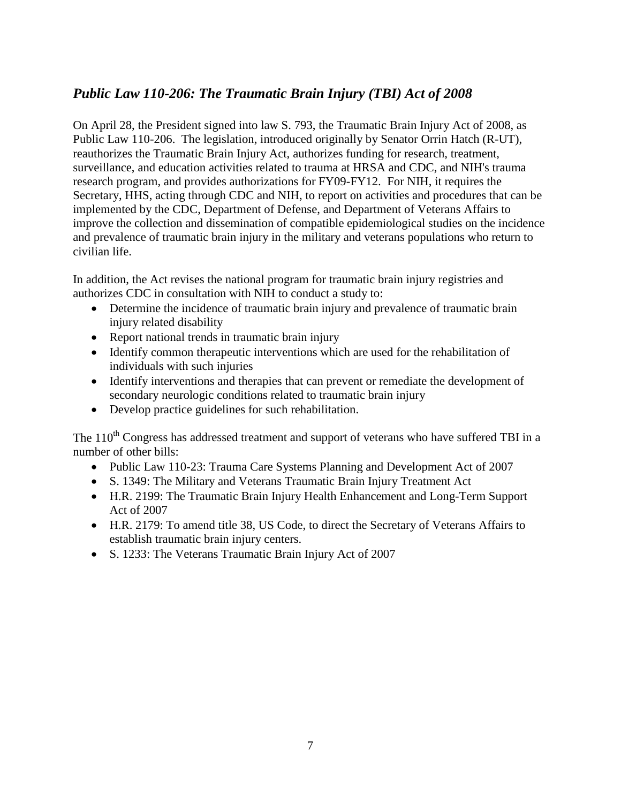## <span id="page-6-0"></span>*Public Law 110-206: The Traumatic Brain Injury (TBI) Act of 2008*

On April 28, the President signed into law S. 793, the Traumatic Brain Injury Act of 2008, as Public Law 110-206. The legislation, introduced originally by Senator Orrin Hatch (R-UT), reauthorizes the Traumatic Brain Injury Act, authorizes funding for research, treatment, surveillance, and education activities related to trauma at HRSA and CDC, and NIH's trauma research program, and provides authorizations for FY09-FY12. For NIH, it requires the Secretary, HHS, acting through CDC and NIH, to report on activities and procedures that can be implemented by the CDC, Department of Defense, and Department of Veterans Affairs to improve the collection and dissemination of compatible epidemiological studies on the incidence and prevalence of traumatic brain injury in the military and veterans populations who return to civilian life.

In addition, the Act revises the national program for traumatic brain injury registries and authorizes CDC in consultation with NIH to conduct a study to:

- Determine the incidence of traumatic brain injury and prevalence of traumatic brain injury related disability
- Report national trends in traumatic brain injury
- Identify common therapeutic interventions which are used for the rehabilitation of individuals with such injuries
- Identify interventions and therapies that can prevent or remediate the development of secondary neurologic conditions related to traumatic brain injury
- Develop practice guidelines for such rehabilitation.

The 110<sup>th</sup> Congress has addressed treatment and support of veterans who have suffered TBI in a number of other bills:

- Public Law 110-23: Trauma Care Systems Planning and Development Act of 2007
- S. 1349: The Military and Veterans Traumatic Brain Injury Treatment Act
- H.R. 2199: The Traumatic Brain Injury Health Enhancement and Long-Term Support Act of 2007
- H.R. 2179: To amend title 38, US Code, to direct the Secretary of Veterans Affairs to establish traumatic brain injury centers.
- S. 1233: The Veterans Traumatic Brain Injury Act of 2007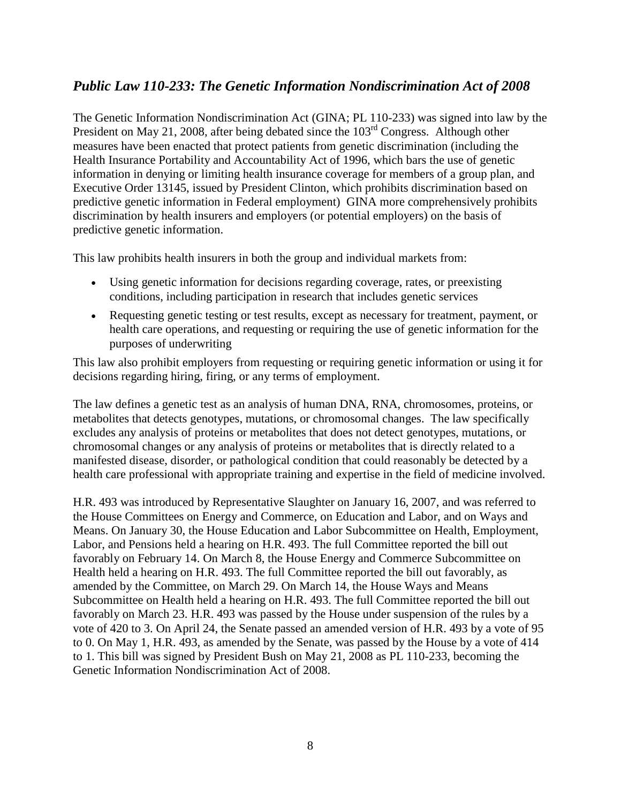## <span id="page-7-0"></span>*Public Law 110-233: The Genetic Information Nondiscrimination Act of 2008*

The Genetic Information Nondiscrimination Act (GINA; PL 110-233) was signed into law by the President on May 21, 2008, after being debated since the 103<sup>rd</sup> Congress. Although other measures have been enacted that protect patients from genetic discrimination (including the Health Insurance Portability and Accountability Act of 1996, which bars the use of genetic information in denying or limiting health insurance coverage for members of a group plan, and Executive Order 13145, issued by President Clinton, which prohibits discrimination based on predictive genetic information in Federal employment) GINA more comprehensively prohibits discrimination by health insurers and employers (or potential employers) on the basis of predictive genetic information.

This law prohibits health insurers in both the group and individual markets from:

- Using genetic information for decisions regarding coverage, rates, or preexisting conditions, including participation in research that includes genetic services
- Requesting genetic testing or test results, except as necessary for treatment, payment, or health care operations, and requesting or requiring the use of genetic information for the purposes of underwriting

This law also prohibit employers from requesting or requiring genetic information or using it for decisions regarding hiring, firing, or any terms of employment.

The law defines a genetic test as an analysis of human DNA, RNA, chromosomes, proteins, or metabolites that detects genotypes, mutations, or chromosomal changes. The law specifically excludes any analysis of proteins or metabolites that does not detect genotypes, mutations, or chromosomal changes or any analysis of proteins or metabolites that is directly related to a manifested disease, disorder, or pathological condition that could reasonably be detected by a health care professional with appropriate training and expertise in the field of medicine involved.

H.R. 493 was introduced by Representative Slaughter on January 16, 2007, and was referred to the House Committees on Energy and Commerce, on Education and Labor, and on Ways and Means. On January 30, the House Education and Labor Subcommittee on Health, Employment, Labor, and Pensions held a hearing on H.R. 493. The full Committee reported the bill out favorably on February 14. On March 8, the House Energy and Commerce Subcommittee on Health held a hearing on H.R. 493. The full Committee reported the bill out favorably, as amended by the Committee, on March 29. On March 14, the House Ways and Means Subcommittee on Health held a hearing on H.R. 493. The full Committee reported the bill out favorably on March 23. H.R. 493 was passed by the House under suspension of the rules by a vote of 420 to 3. On April 24, the Senate passed an amended version of H.R. 493 by a vote of 95 to 0. On May 1, H.R. 493, as amended by the Senate, was passed by the House by a vote of 414 to 1. This bill was signed by President Bush on May 21, 2008 as PL 110-233, becoming the Genetic Information Nondiscrimination Act of 2008.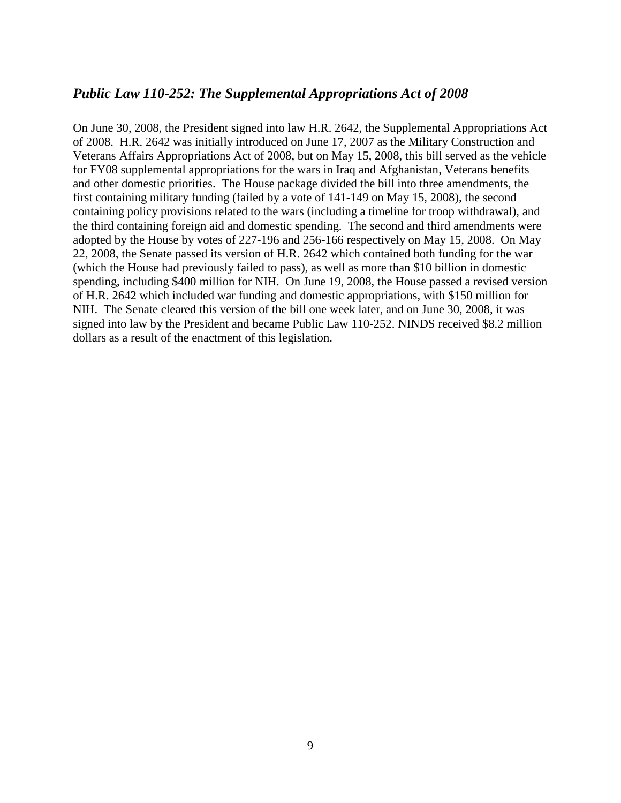## <span id="page-8-0"></span>*Public Law 110-252: The Supplemental Appropriations Act of 2008*

On June 30, 2008, the President signed into law H.R. 2642, the Supplemental Appropriations Act of 2008. H.R. 2642 was initially introduced on June 17, 2007 as the Military Construction and Veterans Affairs Appropriations Act of 2008, but on May 15, 2008, this bill served as the vehicle for FY08 supplemental appropriations for the wars in Iraq and Afghanistan, Veterans benefits and other domestic priorities. The House package divided the bill into three amendments, the first containing military funding (failed by a vote of 141-149 on May 15, 2008), the second containing policy provisions related to the wars (including a timeline for troop withdrawal), and the third containing foreign aid and domestic spending. The second and third amendments were adopted by the House by votes of 227-196 and 256-166 respectively on May 15, 2008. On May 22, 2008, the Senate passed its version of H.R. 2642 which contained both funding for the war (which the House had previously failed to pass), as well as more than \$10 billion in domestic spending, including \$400 million for NIH. On June 19, 2008, the House passed a revised version of H.R. 2642 which included war funding and domestic appropriations, with \$150 million for NIH. The Senate cleared this version of the bill one week later, and on June 30, 2008, it was signed into law by the President and became Public Law 110-252. NINDS received \$8.2 million dollars as a result of the enactment of this legislation.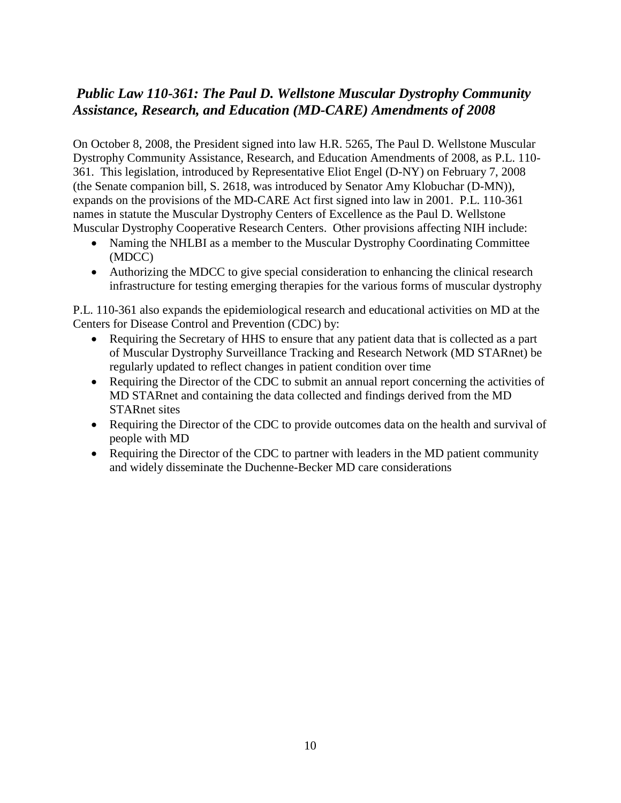## <span id="page-9-0"></span>*Public Law 110-361: The Paul D. Wellstone Muscular Dystrophy Community Assistance, Research, and Education (MD-CARE) Amendments of 2008*

On October 8, 2008, the President signed into law H.R. 5265, The Paul D. Wellstone Muscular Dystrophy Community Assistance, Research, and Education Amendments of 2008, as P.L. 110- 361. This legislation, introduced by Representative Eliot Engel (D-NY) on February 7, 2008 (the Senate companion bill, S. 2618, was introduced by Senator Amy Klobuchar (D-MN)), expands on the provisions of the MD-CARE Act first signed into law in 2001. P.L. 110-361 names in statute the Muscular Dystrophy Centers of Excellence as the Paul D. Wellstone Muscular Dystrophy Cooperative Research Centers. Other provisions affecting NIH include:

- Naming the NHLBI as a member to the Muscular Dystrophy Coordinating Committee (MDCC)
- Authorizing the MDCC to give special consideration to enhancing the clinical research infrastructure for testing emerging therapies for the various forms of muscular dystrophy

P.L. 110-361 also expands the epidemiological research and educational activities on MD at the Centers for Disease Control and Prevention (CDC) by:

- Requiring the Secretary of HHS to ensure that any patient data that is collected as a part of Muscular Dystrophy Surveillance Tracking and Research Network (MD STARnet) be regularly updated to reflect changes in patient condition over time
- Requiring the Director of the CDC to submit an annual report concerning the activities of MD STARnet and containing the data collected and findings derived from the MD STARnet sites
- Requiring the Director of the CDC to provide outcomes data on the health and survival of people with MD
- Requiring the Director of the CDC to partner with leaders in the MD patient community and widely disseminate the Duchenne-Becker MD care considerations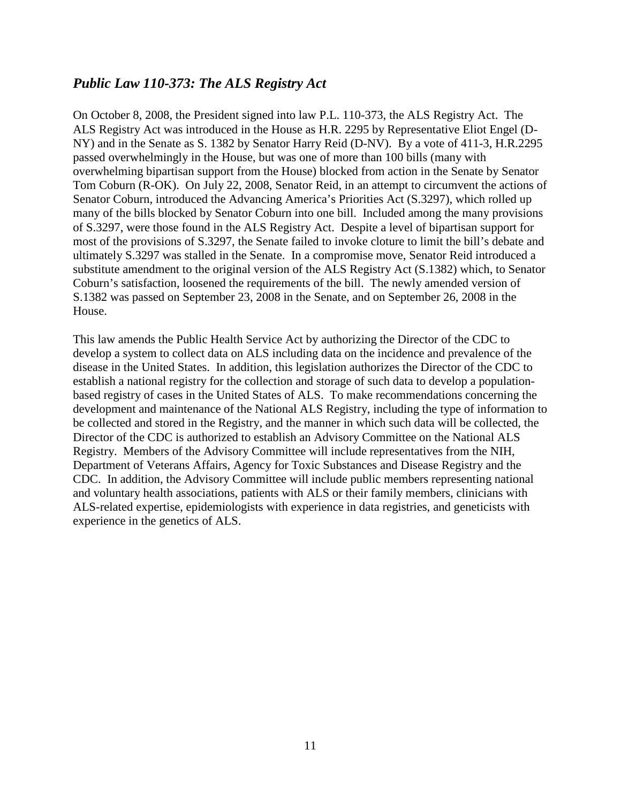### <span id="page-10-0"></span>*Public Law 110-373: The ALS Registry Act*

On October 8, 2008, the President signed into law P.L. 110-373, the ALS Registry Act. The ALS Registry Act was introduced in the House as H.R. 2295 by Representative Eliot Engel (D-NY) and in the Senate as S. 1382 by Senator Harry Reid (D-NV). By a vote of 411-3, H.R.2295 passed overwhelmingly in the House, but was one of more than 100 bills (many with overwhelming bipartisan support from the House) blocked from action in the Senate by Senator Tom Coburn (R-OK). On July 22, 2008, Senator Reid, in an attempt to circumvent the actions of Senator Coburn, introduced the Advancing America's Priorities Act (S.3297), which rolled up many of the bills blocked by Senator Coburn into one bill. Included among the many provisions of S.3297, were those found in the ALS Registry Act. Despite a level of bipartisan support for most of the provisions of S.3297, the Senate failed to invoke cloture to limit the bill's debate and ultimately S.3297 was stalled in the Senate. In a compromise move, Senator Reid introduced a substitute amendment to the original version of the ALS Registry Act (S.1382) which, to Senator Coburn's satisfaction, loosened the requirements of the bill. The newly amended version of S.1382 was passed on September 23, 2008 in the Senate, and on September 26, 2008 in the House.

This law amends the Public Health Service Act by authorizing the Director of the CDC to develop a system to collect data on ALS including data on the incidence and prevalence of the disease in the United States. In addition, this legislation authorizes the Director of the CDC to establish a national registry for the collection and storage of such data to develop a populationbased registry of cases in the United States of ALS. To make recommendations concerning the development and maintenance of the National ALS Registry, including the type of information to be collected and stored in the Registry, and the manner in which such data will be collected, the Director of the CDC is authorized to establish an Advisory Committee on the National ALS Registry. Members of the Advisory Committee will include representatives from the NIH, Department of Veterans Affairs, Agency for Toxic Substances and Disease Registry and the CDC. In addition, the Advisory Committee will include public members representing national and voluntary health associations, patients with ALS or their family members, clinicians with ALS-related expertise, epidemiologists with experience in data registries, and geneticists with experience in the genetics of ALS.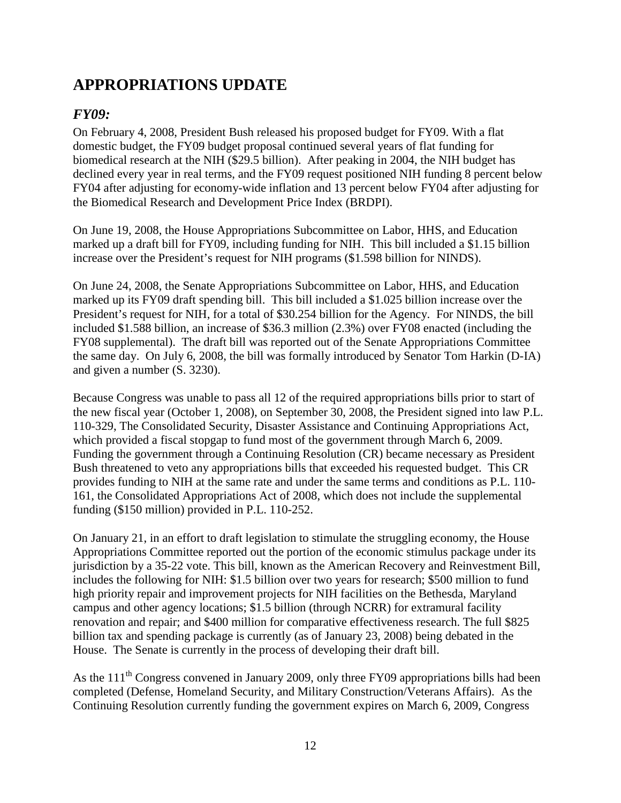# <span id="page-11-0"></span>**APPROPRIATIONS UPDATE**

## <span id="page-11-1"></span>*FY09:*

On February 4, 2008, President Bush released his proposed budget for FY09. With a flat domestic budget, the FY09 budget proposal continued several years of flat funding for biomedical research at the NIH (\$29.5 billion). After peaking in 2004, the NIH budget has declined every year in real terms, and the FY09 request positioned NIH funding 8 percent below FY04 after adjusting for economy-wide inflation and 13 percent below FY04 after adjusting for the Biomedical Research and Development Price Index (BRDPI).

On June 19, 2008, the House Appropriations Subcommittee on Labor, HHS, and Education marked up a draft bill for FY09, including funding for NIH. This bill included a \$1.15 billion increase over the President's request for NIH programs (\$1.598 billion for NINDS).

On June 24, 2008, the Senate Appropriations Subcommittee on Labor, HHS, and Education marked up its FY09 draft spending bill. This bill included a \$1.025 billion increase over the President's request for NIH, for a total of \$30.254 billion for the Agency. For NINDS, the bill included \$1.588 billion, an increase of \$36.3 million (2.3%) over FY08 enacted (including the FY08 supplemental). The draft bill was reported out of the Senate Appropriations Committee the same day. On July 6, 2008, the bill was formally introduced by Senator Tom Harkin (D-IA) and given a number (S. 3230).

Because Congress was unable to pass all 12 of the required appropriations bills prior to start of the new fiscal year (October 1, 2008), on September 30, 2008, the President signed into law P.L. 110-329, The Consolidated Security, Disaster Assistance and Continuing Appropriations Act, which provided a fiscal stopgap to fund most of the government through March 6, 2009. Funding the government through a Continuing Resolution (CR) became necessary as President Bush threatened to veto any appropriations bills that exceeded his requested budget. This CR provides funding to NIH at the same rate and under the same terms and conditions as P.L. 110- 161, the Consolidated Appropriations Act of 2008, which does not include the supplemental funding (\$150 million) provided in P.L. 110-252.

On January 21, in an effort to draft legislation to stimulate the struggling economy, the House Appropriations Committee reported out the portion of the economic stimulus package under its jurisdiction by a 35-22 vote. This bill, known as the American Recovery and Reinvestment Bill, includes the following for NIH: \$1.5 billion over two years for research; \$500 million to fund high priority repair and improvement projects for NIH facilities on the Bethesda, Maryland campus and other agency locations; \$1.5 billion (through NCRR) for extramural facility renovation and repair; and \$400 million for comparative effectiveness research. The full \$825 billion tax and spending package is currently (as of January 23, 2008) being debated in the House. The Senate is currently in the process of developing their draft bill.

As the 111<sup>th</sup> Congress convened in January 2009, only three FY09 appropriations bills had been completed (Defense, Homeland Security, and Military Construction/Veterans Affairs). As the Continuing Resolution currently funding the government expires on March 6, 2009, Congress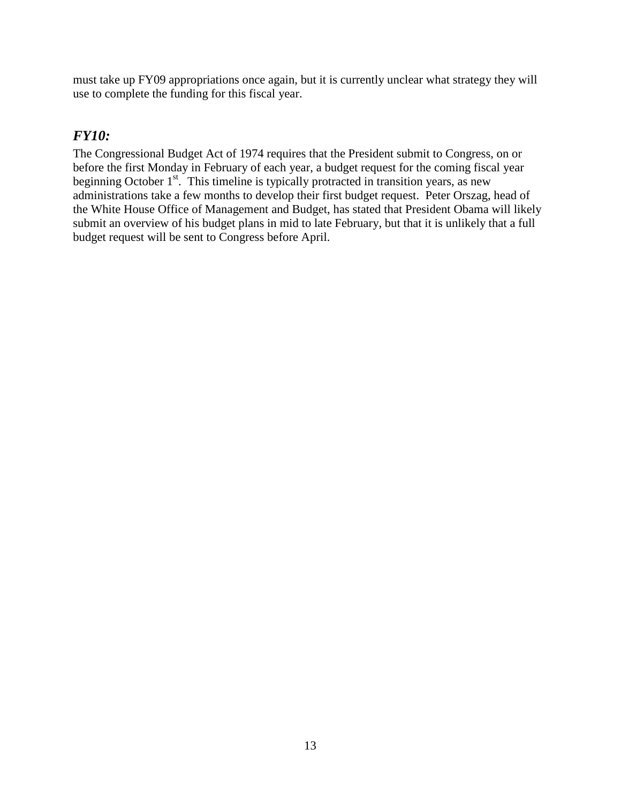must take up FY09 appropriations once again, but it is currently unclear what strategy they will use to complete the funding for this fiscal year.

## <span id="page-12-0"></span>*FY10:*

The Congressional Budget Act of 1974 requires that the President submit to Congress, on or before the first Monday in February of each year, a budget request for the coming fiscal year beginning October  $1<sup>st</sup>$ . This timeline is typically protracted in transition years, as new administrations take a few months to develop their first budget request. Peter Orszag, head of the White House Office of Management and Budget, has stated that President Obama will likely submit an overview of his budget plans in mid to late February, but that it is unlikely that a full budget request will be sent to Congress before April.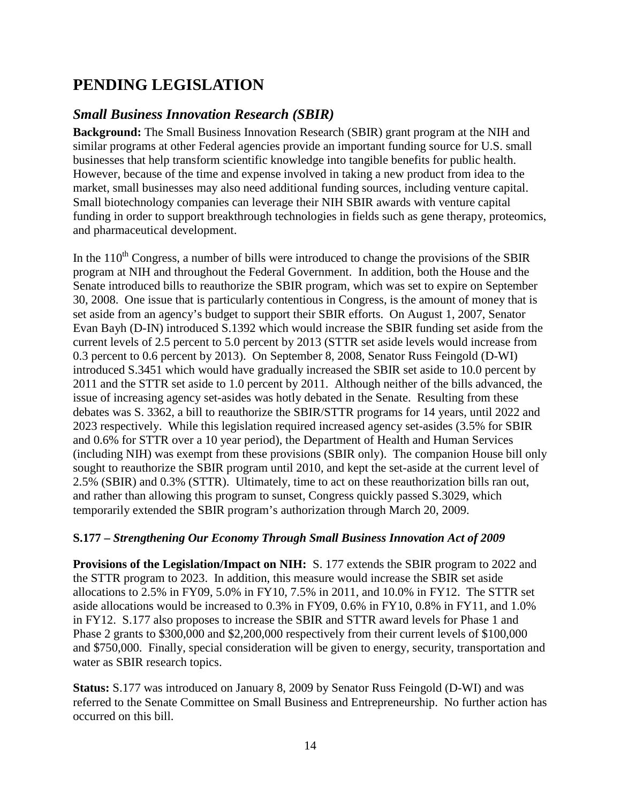# <span id="page-13-0"></span>**PENDING LEGISLATION**

### <span id="page-13-1"></span>*Small Business Innovation Research (SBIR)*

**Background:** The Small Business Innovation Research (SBIR) grant program at the NIH and similar programs at other Federal agencies provide an important funding source for U.S. small businesses that help transform scientific knowledge into tangible benefits for public health. However, because of the time and expense involved in taking a new product from idea to the market, small businesses may also need additional funding sources, including venture capital. Small biotechnology companies can leverage their NIH SBIR awards with venture capital funding in order to support breakthrough technologies in fields such as gene therapy, proteomics, and pharmaceutical development.

In the  $110<sup>th</sup>$  Congress, a number of bills were introduced to change the provisions of the SBIR program at NIH and throughout the Federal Government. In addition, both the House and the Senate introduced bills to reauthorize the SBIR program, which was set to expire on September 30, 2008. One issue that is particularly contentious in Congress, is the amount of money that is set aside from an agency's budget to support their SBIR efforts. On August 1, 2007, Senator Evan Bayh (D-IN) introduced S.1392 which would increase the SBIR funding set aside from the current levels of 2.5 percent to 5.0 percent by 2013 (STTR set aside levels would increase from 0.3 percent to 0.6 percent by 2013). On September 8, 2008, Senator Russ Feingold (D-WI) introduced S.3451 which would have gradually increased the SBIR set aside to 10.0 percent by 2011 and the STTR set aside to 1.0 percent by 2011. Although neither of the bills advanced, the issue of increasing agency set-asides was hotly debated in the Senate. Resulting from these debates was S. 3362, a bill to reauthorize the SBIR/STTR programs for 14 years, until 2022 and 2023 respectively. While this legislation required increased agency set-asides (3.5% for SBIR and 0.6% for STTR over a 10 year period), the Department of Health and Human Services (including NIH) was exempt from these provisions (SBIR only). The companion House bill only sought to reauthorize the SBIR program until 2010, and kept the set-aside at the current level of 2.5% (SBIR) and 0.3% (STTR). Ultimately, time to act on these reauthorization bills ran out, and rather than allowing this program to sunset, Congress quickly passed S.3029, which temporarily extended the SBIR program's authorization through March 20, 2009.

#### **S.177 –** *Strengthening Our Economy Through Small Business Innovation Act of 2009*

**Provisions of the Legislation/Impact on NIH:** S. 177 extends the SBIR program to 2022 and the STTR program to 2023. In addition, this measure would increase the SBIR set aside allocations to 2.5% in FY09, 5.0% in FY10, 7.5% in 2011, and 10.0% in FY12. The STTR set aside allocations would be increased to 0.3% in FY09, 0.6% in FY10, 0.8% in FY11, and 1.0% in FY12. S.177 also proposes to increase the SBIR and STTR award levels for Phase 1 and Phase 2 grants to \$300,000 and \$2,200,000 respectively from their current levels of \$100,000 and \$750,000. Finally, special consideration will be given to energy, security, transportation and water as SBIR research topics.

**Status:** S.177 was introduced on January 8, 2009 by Senator Russ Feingold (D-WI) and was referred to the Senate Committee on Small Business and Entrepreneurship. No further action has occurred on this bill.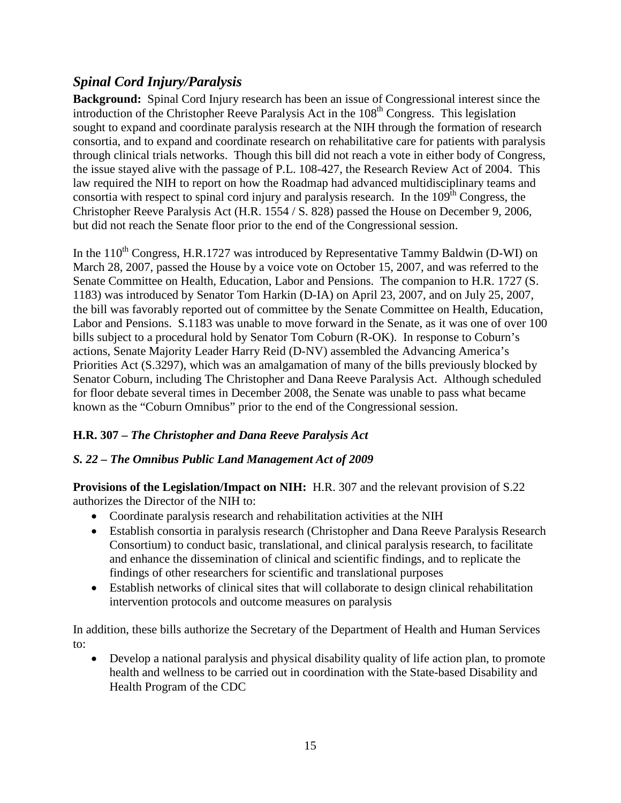## <span id="page-14-0"></span>*Spinal Cord Injury/Paralysis*

**Background:** Spinal Cord Injury research has been an issue of Congressional interest since the introduction of the Christopher Reeve Paralysis Act in the  $108<sup>th</sup>$  Congress. This legislation sought to expand and coordinate paralysis research at the NIH through the formation of research consortia, and to expand and coordinate research on rehabilitative care for patients with paralysis through clinical trials networks. Though this bill did not reach a vote in either body of Congress, the issue stayed alive with the passage of P.L. 108-427, the Research Review Act of 2004. This law required the NIH to report on how the Roadmap had advanced multidisciplinary teams and consortia with respect to spinal cord injury and paralysis research. In the  $109<sup>th</sup>$  Congress, the Christopher Reeve Paralysis Act (H.R. 1554 / S. 828) passed the House on December 9, 2006, but did not reach the Senate floor prior to the end of the Congressional session.

In the  $110^{th}$  Congress, H.R.1727 was introduced by Representative Tammy Baldwin (D-WI) on March 28, 2007, passed the House by a voice vote on October 15, 2007, and was referred to the Senate Committee on Health, Education, Labor and Pensions. The companion to H.R. 1727 (S. 1183) was introduced by Senator Tom Harkin (D-IA) on April 23, 2007, and on July 25, 2007, the bill was favorably reported out of committee by the Senate Committee on Health, Education, Labor and Pensions. S.1183 was unable to move forward in the Senate, as it was one of over 100 bills subject to a procedural hold by Senator Tom Coburn (R-OK). In response to Coburn's actions, Senate Majority Leader Harry Reid (D-NV) assembled the Advancing America's Priorities Act (S.3297), which was an amalgamation of many of the bills previously blocked by Senator Coburn, including The Christopher and Dana Reeve Paralysis Act. Although scheduled for floor debate several times in December 2008, the Senate was unable to pass what became known as the "Coburn Omnibus" prior to the end of the Congressional session.

#### **H.R. 307 –** *The Christopher and Dana Reeve Paralysis Act*

#### *S. 22 – The Omnibus Public Land Management Act of 2009*

**Provisions of the Legislation/Impact on NIH:** H.R. 307 and the relevant provision of S.22 authorizes the Director of the NIH to:

- Coordinate paralysis research and rehabilitation activities at the NIH
- Establish consortia in paralysis research (Christopher and Dana Reeve Paralysis Research Consortium) to conduct basic, translational, and clinical paralysis research, to facilitate and enhance the dissemination of clinical and scientific findings, and to replicate the findings of other researchers for scientific and translational purposes
- Establish networks of clinical sites that will collaborate to design clinical rehabilitation intervention protocols and outcome measures on paralysis

In addition, these bills authorize the Secretary of the Department of Health and Human Services to:

• Develop a national paralysis and physical disability quality of life action plan, to promote health and wellness to be carried out in coordination with the State-based Disability and Health Program of the CDC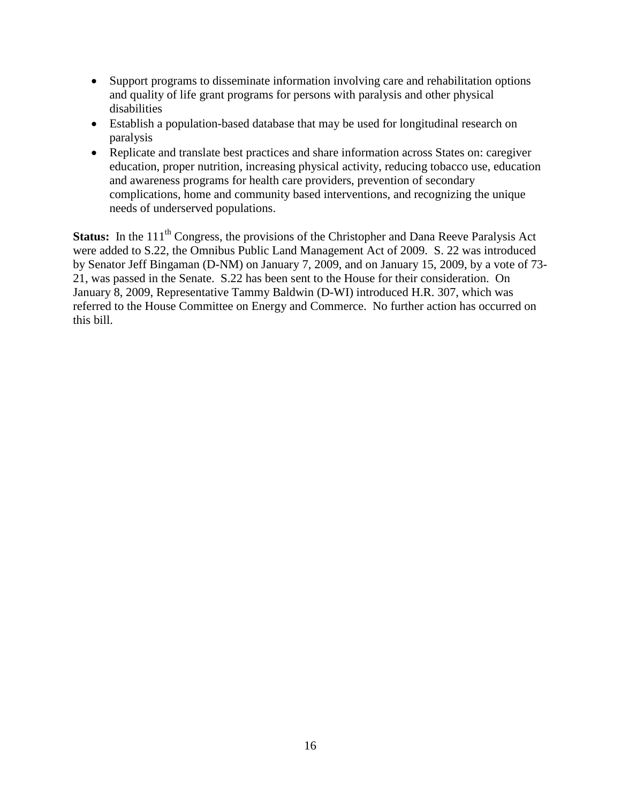- Support programs to disseminate information involving care and rehabilitation options and quality of life grant programs for persons with paralysis and other physical disabilities
- Establish a population-based database that may be used for longitudinal research on paralysis
- Replicate and translate best practices and share information across States on: caregiver education, proper nutrition, increasing physical activity, reducing tobacco use, education and awareness programs for health care providers, prevention of secondary complications, home and community based interventions, and recognizing the unique needs of underserved populations.

**Status:** In the 111<sup>th</sup> Congress, the provisions of the Christopher and Dana Reeve Paralysis Act were added to S.22, the Omnibus Public Land Management Act of 2009. S. 22 was introduced by Senator Jeff Bingaman (D-NM) on January 7, 2009, and on January 15, 2009, by a vote of 73- 21, was passed in the Senate. S.22 has been sent to the House for their consideration. On January 8, 2009, Representative Tammy Baldwin (D-WI) introduced H.R. 307, which was referred to the House Committee on Energy and Commerce. No further action has occurred on this bill.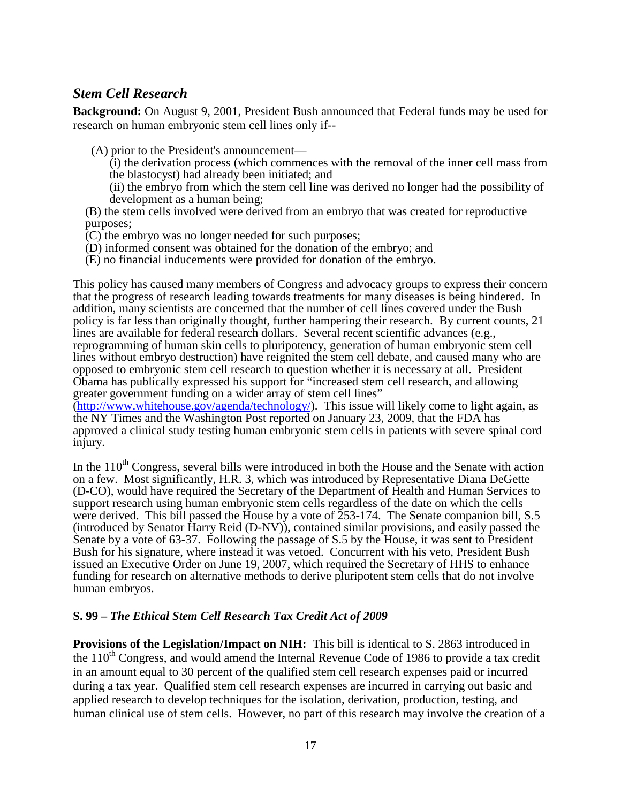## <span id="page-16-0"></span>*Stem Cell Research*

**Background:** On August 9, 2001, President Bush announced that Federal funds may be used for research on human embryonic stem cell lines only if--

(A) prior to the President's announcement—

 $(i)$  the derivation process (which commences with the removal of the inner cell mass from the blastocyst) had already been initiated; and

(ii) the embryo from which the stem cell line was derived no longer had the possibility of development as a human being;

- (B) the stem cells involved were derived from an embryo that was created for reproductive purposes;
- (C) the embryo was no longer needed for such purposes;
- (D) informed consent was obtained for the donation of the embryo; and
- (E) no financial inducements were provided for donation of the embryo.

This policy has caused many members of Congress and advocacy groups to express their concern that the progress of research leading towards treatments for many diseases is being hindered. In addition, many scientists are concerned that the number of cell lines covered under the Bush policy is far less than originally thought, further hampering their research. By current counts, 21 lines are available for federal research dollars. Several recent scientific advances (e.g., reprogramming of human skin cells to pluripotency, generation of human embryonic stem cell lines without embryo destruction) have reignited the stem cell debate, and caused many who are opposed to embryonic stem cell research to question whether it is necessary at all. President Obama has publically expressed his support for "increased stem cell research, and allowing greater government funding on a wider array of stem cell lines" [\(http://www.whitehouse.gov/agenda/technology/\)](http://www.whitehouse.gov/agenda/technology/). This issue will likely come to light again, as the NY Times and the Washington Post reported on January 23, 2009, that the FDA has approved a clinical study testing human embryonic stem cells in patients with severe spinal cord

injury.

In the  $110<sup>th</sup>$  Congress, several bills were introduced in both the House and the Senate with action on a few. Most significantly, H.R. 3, which was introduced by Representative Diana DeGette (D-CO), would have required the Secretary of the Department of Health and Human Services to support research using human embryonic stem cells regardless of the date on which the cells were derived. This bill passed the House by a vote of  $253-174$ . The Senate companion bill, S.5 (introduced by Senator Harry Reid (D-NV)), contained similar provisions, and easily passed the Senate by a vote of 63-37. Following the passage of S.5 by the House, it was sent to President Bush for his signature, where instead it was vetoed. Concurrent with his veto, President Bush issued an Executive Order on June 19, 2007, which required the Secretary of HHS to enhance funding for research on alternative methods to derive pluripotent stem cells that do not involve human embryos.

#### **S. 99 –** *The Ethical Stem Cell Research Tax Credit Act of 2009*

**Provisions of the Legislation/Impact on NIH:** This bill is identical to S. 2863 introduced in the  $110<sup>th</sup>$  Congress, and would amend the Internal Revenue Code of 1986 to provide a tax credit in an amount equal to 30 percent of the qualified stem cell research expenses paid or incurred during a tax year. Qualified stem cell research expenses are incurred in carrying out basic and applied research to develop techniques for the isolation, derivation, production, testing, and human clinical use of stem cells. However, no part of this research may involve the creation of a